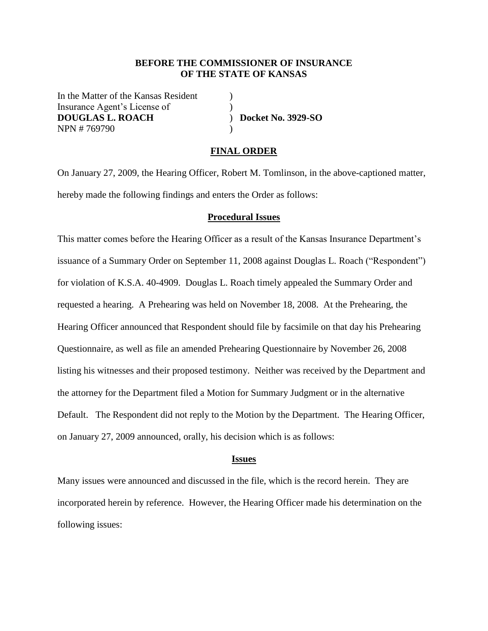### **BEFORE THE COMMISSIONER OF INSURANCE OF THE STATE OF KANSAS**

In the Matter of the Kansas Resident (1) Insurance Agent's License of (1) **DOUGLAS L. ROACH** ) **Docket No. 3929-SO** NPN # 769790 )

#### **FINAL ORDER**

On January 27, 2009, the Hearing Officer, Robert M. Tomlinson, in the above-captioned matter, hereby made the following findings and enters the Order as follows:

### **Procedural Issues**

This matter comes before the Hearing Officer as a result of the Kansas Insurance Department's issuance of a Summary Order on September 11, 2008 against Douglas L. Roach ("Respondent") for violation of K.S.A. 40-4909. Douglas L. Roach timely appealed the Summary Order and requested a hearing. A Prehearing was held on November 18, 2008. At the Prehearing, the Hearing Officer announced that Respondent should file by facsimile on that day his Prehearing Questionnaire, as well as file an amended Prehearing Questionnaire by November 26, 2008 listing his witnesses and their proposed testimony. Neither was received by the Department and the attorney for the Department filed a Motion for Summary Judgment or in the alternative Default. The Respondent did not reply to the Motion by the Department. The Hearing Officer, on January 27, 2009 announced, orally, his decision which is as follows:

#### **Issues**

Many issues were announced and discussed in the file, which is the record herein. They are incorporated herein by reference. However, the Hearing Officer made his determination on the following issues: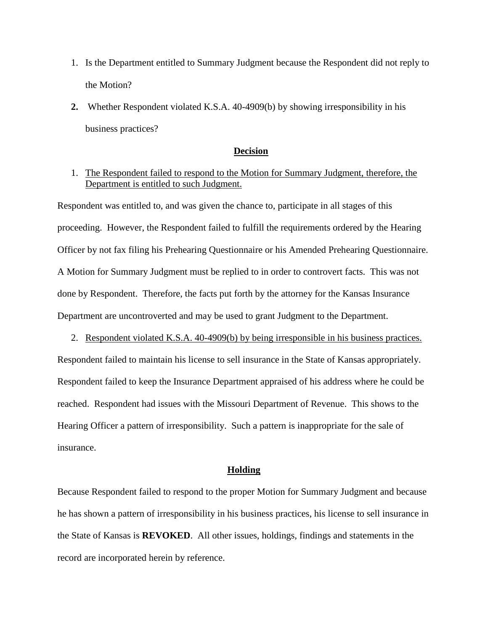- 1. Is the Department entitled to Summary Judgment because the Respondent did not reply to the Motion?
- **2.** Whether Respondent violated K.S.A. 40-4909(b) by showing irresponsibility in his business practices?

### **Decision**

# 1. The Respondent failed to respond to the Motion for Summary Judgment, therefore, the Department is entitled to such Judgment.

Respondent was entitled to, and was given the chance to, participate in all stages of this proceeding. However, the Respondent failed to fulfill the requirements ordered by the Hearing Officer by not fax filing his Prehearing Questionnaire or his Amended Prehearing Questionnaire. A Motion for Summary Judgment must be replied to in order to controvert facts. This was not done by Respondent. Therefore, the facts put forth by the attorney for the Kansas Insurance Department are uncontroverted and may be used to grant Judgment to the Department.

2. Respondent violated K.S.A. 40-4909(b) by being irresponsible in his business practices. Respondent failed to maintain his license to sell insurance in the State of Kansas appropriately. Respondent failed to keep the Insurance Department appraised of his address where he could be reached. Respondent had issues with the Missouri Department of Revenue. This shows to the Hearing Officer a pattern of irresponsibility. Such a pattern is inappropriate for the sale of insurance.

### **Holding**

Because Respondent failed to respond to the proper Motion for Summary Judgment and because he has shown a pattern of irresponsibility in his business practices, his license to sell insurance in the State of Kansas is **REVOKED**. All other issues, holdings, findings and statements in the record are incorporated herein by reference.